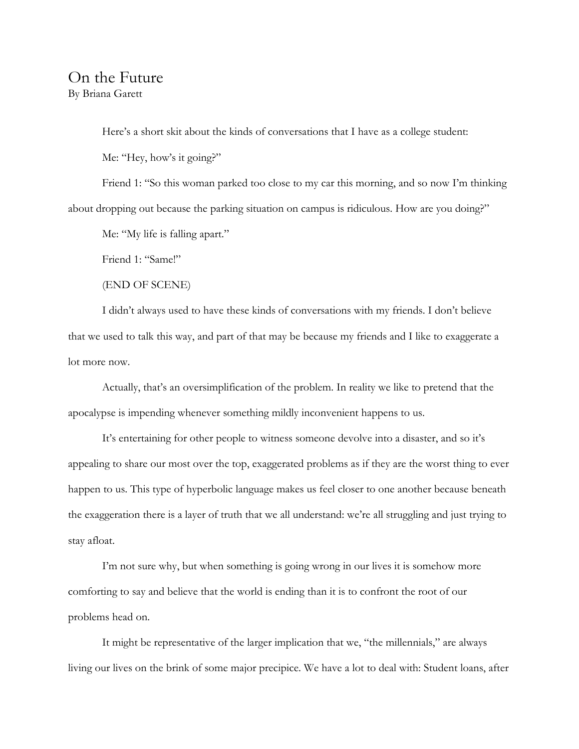## On the Future By Briana Garett

Here's a short skit about the kinds of conversations that I have as a college student:

Me: "Hey, how's it going?"

Friend 1: "So this woman parked too close to my car this morning, and so now I'm thinking about dropping out because the parking situation on campus is ridiculous. How are you doing?"

Me: "My life is falling apart."

Friend 1: "Same!"

(END OF SCENE)

I didn't always used to have these kinds of conversations with my friends. I don't believe that we used to talk this way, and part of that may be because my friends and I like to exaggerate a lot more now.

Actually, that's an oversimplification of the problem. In reality we like to pretend that the apocalypse is impending whenever something mildly inconvenient happens to us.

It's entertaining for other people to witness someone devolve into a disaster, and so it's appealing to share our most over the top, exaggerated problems as if they are the worst thing to ever happen to us. This type of hyperbolic language makes us feel closer to one another because beneath the exaggeration there is a layer of truth that we all understand: we're all struggling and just trying to stay afloat.

I'm not sure why, but when something is going wrong in our lives it is somehow more comforting to say and believe that the world is ending than it is to confront the root of our problems head on.

It might be representative of the larger implication that we, "the millennials," are always living our lives on the brink of some major precipice. We have a lot to deal with: Student loans, after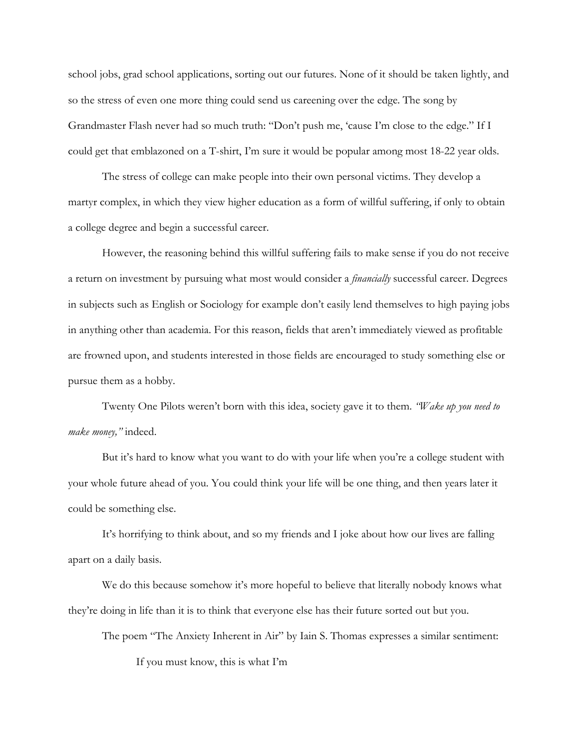school jobs, grad school applications, sorting out our futures. None of it should be taken lightly, and so the stress of even one more thing could send us careening over the edge. The song by Grandmaster Flash never had so much truth: "Don't push me, 'cause I'm close to the edge." If I could get that emblazoned on a T-shirt, I'm sure it would be popular among most 18-22 year olds.

The stress of college can make people into their own personal victims. They develop a martyr complex, in which they view higher education as a form of willful suffering, if only to obtain a college degree and begin a successful career.

However, the reasoning behind this willful suffering fails to make sense if you do not receive a return on investment by pursuing what most would consider a *financially* successful career. Degrees in subjects such as English or Sociology for example don't easily lend themselves to high paying jobs in anything other than academia. For this reason, fields that aren't immediately viewed as profitable are frowned upon, and students interested in those fields are encouraged to study something else or pursue them as a hobby.

Twenty One Pilots weren't born with this idea, society gave it to them. *"Wake up you need to make money,"* indeed.

But it's hard to know what you want to do with your life when you're a college student with your whole future ahead of you. You could think your life will be one thing, and then years later it could be something else.

It's horrifying to think about, and so my friends and I joke about how our lives are falling apart on a daily basis.

We do this because somehow it's more hopeful to believe that literally nobody knows what they're doing in life than it is to think that everyone else has their future sorted out but you.

The poem "The Anxiety Inherent in Air" by Iain S. Thomas expresses a similar sentiment:

If you must know, this is what I'm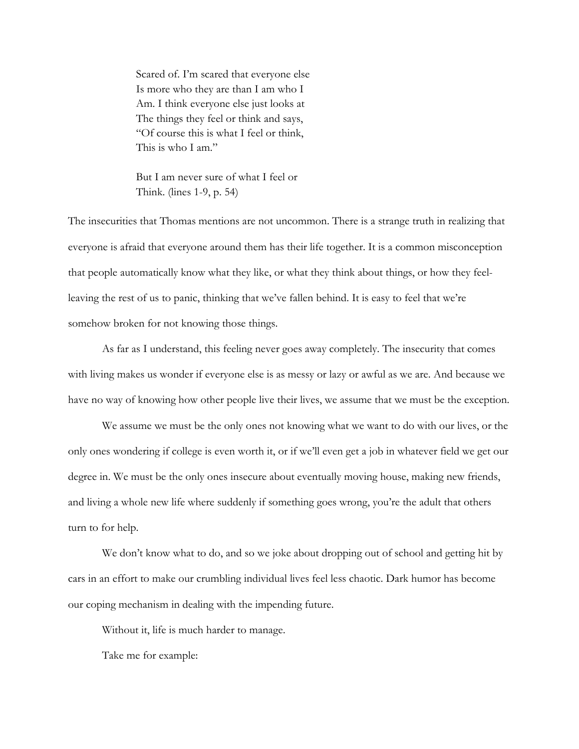Scared of. I'm scared that everyone else Is more who they are than I am who I Am. I think everyone else just looks at The things they feel or think and says, "Of course this is what I feel or think, This is who I am"

But I am never sure of what I feel or Think. (lines 1-9, p. 54)

The insecurities that Thomas mentions are not uncommon. There is a strange truth in realizing that everyone is afraid that everyone around them has their life together. It is a common misconception that people automatically know what they like, or what they think about things, or how they feelleaving the rest of us to panic, thinking that we've fallen behind. It is easy to feel that we're somehow broken for not knowing those things.

As far as I understand, this feeling never goes away completely. The insecurity that comes with living makes us wonder if everyone else is as messy or lazy or awful as we are. And because we have no way of knowing how other people live their lives, we assume that we must be the exception.

We assume we must be the only ones not knowing what we want to do with our lives, or the only ones wondering if college is even worth it, or if we'll even get a job in whatever field we get our degree in. We must be the only ones insecure about eventually moving house, making new friends, and living a whole new life where suddenly if something goes wrong, you're the adult that others turn to for help.

We don't know what to do, and so we joke about dropping out of school and getting hit by cars in an effort to make our crumbling individual lives feel less chaotic. Dark humor has become our coping mechanism in dealing with the impending future.

Without it, life is much harder to manage.

Take me for example: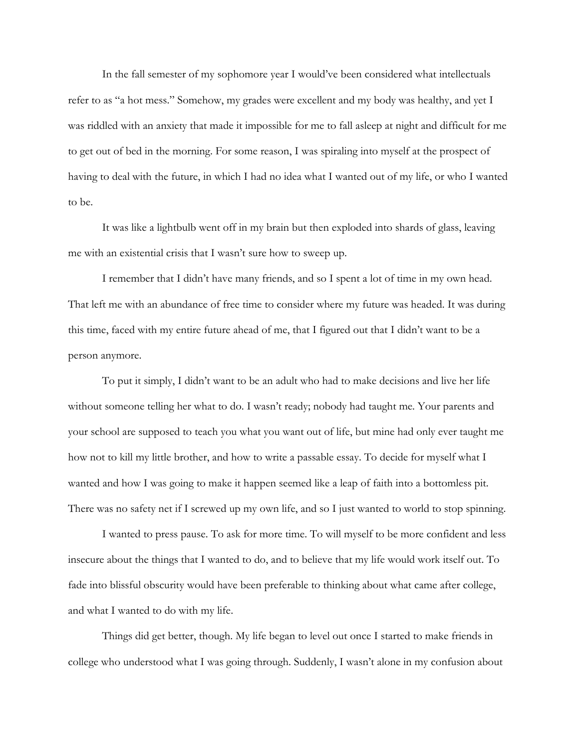In the fall semester of my sophomore year I would've been considered what intellectuals refer to as "a hot mess." Somehow, my grades were excellent and my body was healthy, and yet I was riddled with an anxiety that made it impossible for me to fall asleep at night and difficult for me to get out of bed in the morning. For some reason, I was spiraling into myself at the prospect of having to deal with the future, in which I had no idea what I wanted out of my life, or who I wanted to be.

It was like a lightbulb went off in my brain but then exploded into shards of glass, leaving me with an existential crisis that I wasn't sure how to sweep up.

I remember that I didn't have many friends, and so I spent a lot of time in my own head. That left me with an abundance of free time to consider where my future was headed. It was during this time, faced with my entire future ahead of me, that I figured out that I didn't want to be a person anymore.

To put it simply, I didn't want to be an adult who had to make decisions and live her life without someone telling her what to do. I wasn't ready; nobody had taught me. Your parents and your school are supposed to teach you what you want out of life, but mine had only ever taught me how not to kill my little brother, and how to write a passable essay. To decide for myself what I wanted and how I was going to make it happen seemed like a leap of faith into a bottomless pit. There was no safety net if I screwed up my own life, and so I just wanted to world to stop spinning.

I wanted to press pause. To ask for more time. To will myself to be more confident and less insecure about the things that I wanted to do, and to believe that my life would work itself out. To fade into blissful obscurity would have been preferable to thinking about what came after college, and what I wanted to do with my life.

Things did get better, though. My life began to level out once I started to make friends in college who understood what I was going through. Suddenly, I wasn't alone in my confusion about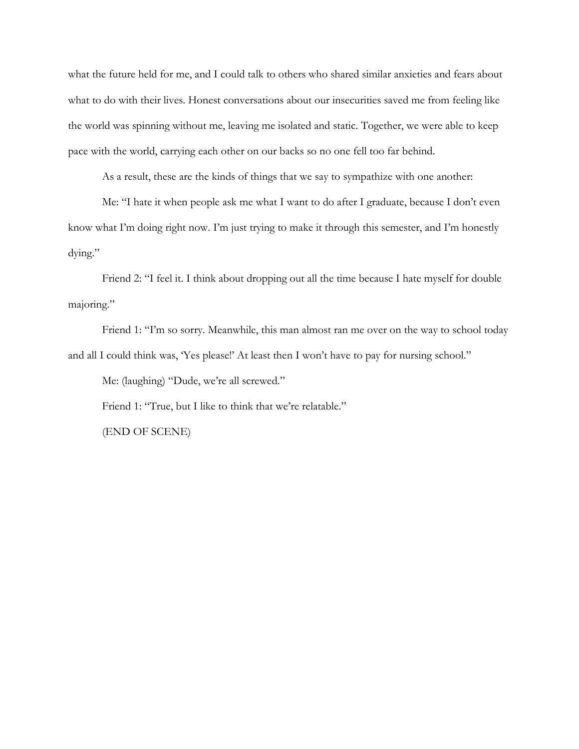what the future held for me, and I could talk to others who shared similar anxieties and fears about what to do with their lives. Honest conversations about our insecurities saved me from feeling like the world was spinning without me, leaving me isolated and static. Together, we were able to keep pace with the world, carrying each other on our backs so no one fell too far behind.

As a result, these are the kinds of things that we say to sympathize with one another:

Me: "I hate it when people ask me what I want to do after I graduate, because I don't even know what I'm doing right now. I'm just trying to make it through this semester, and I'm honestly dying."

Friend 2: "I feel it. I think about dropping out all the time because I hate myself for double majoring."

Friend 1: "I'm so sorry. Meanwhile, this man almost ran me over on the way to school today and all I could think was, 'Yes please!' At least then I won't have to pay for nursing school."

Me: (laughing) "Dude, we're all screwed."

Friend 1: "True, but I like to think that we're relatable."

(END OF SCENE)